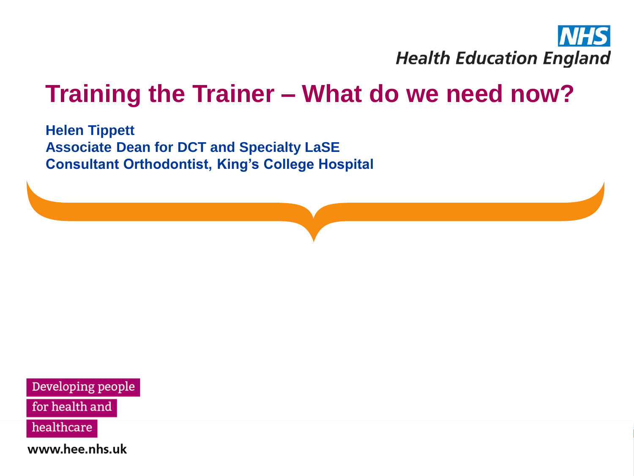

### **Training the Trainer – What do we need now?**

**Helen Tippett Associate Dean for DCT and Specialty LaSE Consultant Orthodontist, King's College Hospital** 

Developing people

for health and

healthcare

www.hee.nhs.uk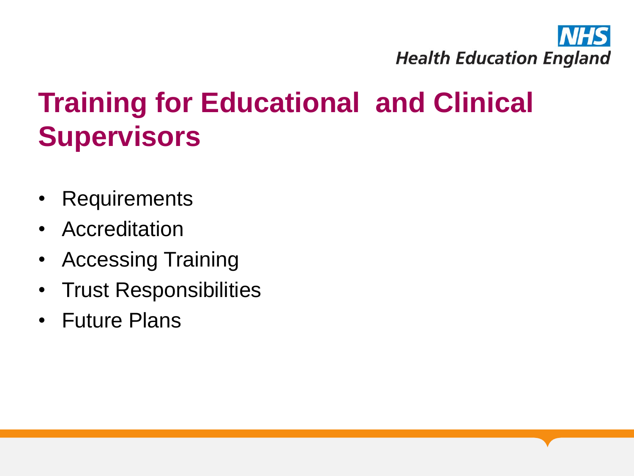

## **Training for Educational and Clinical Supervisors**

- Requirements
- Accreditation
- Accessing Training
- Trust Responsibilities
- Future Plans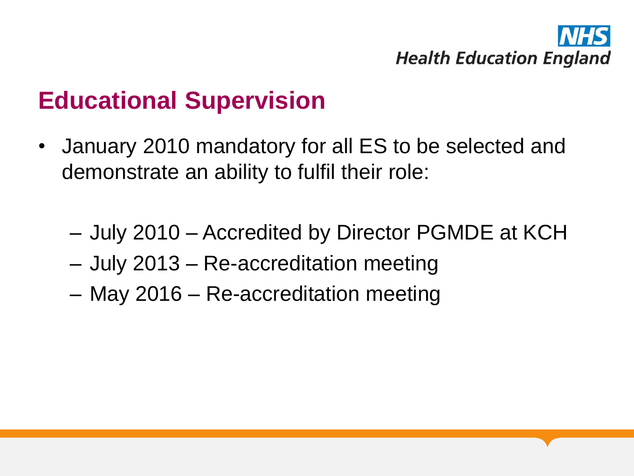

### **Educational Supervision**

- January 2010 mandatory for all ES to be selected and demonstrate an ability to fulfil their role:
	- July 2010 Accredited by Director PGMDE at KCH
	- July 2013 Re-accreditation meeting
	- May 2016 Re-accreditation meeting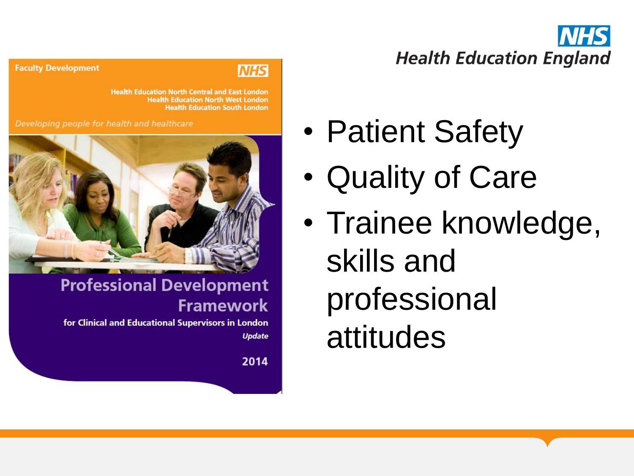**Health Education England** 

#### **Faculty Development**

#### **NHS**

**Health Education North Central and East London Health Education North West London Health Education South London** 

Developing people for health and healthcare



#### **Professional Development Framework**

for Clinical and Educational Supervisors in London **Update** 

2014

• Patient Safety

- Quality of Care
- Trainee knowledge, skills and professional attitudes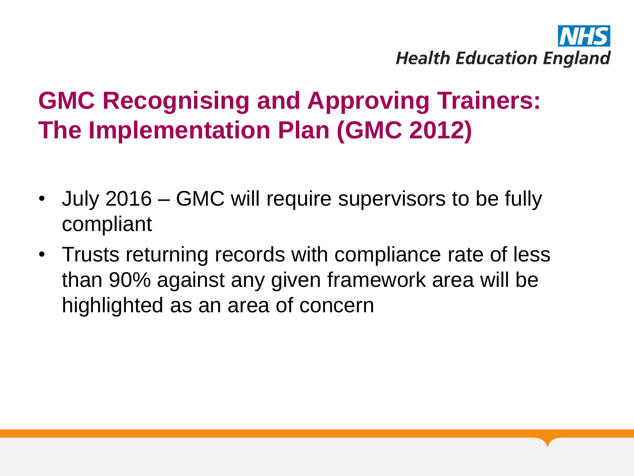

## **GMC Recognising and Approving Trainers: The Implementation Plan (GMC 2012)**

- July 2016 GMC will require supervisors to be fully compliant
- Trusts returning records with compliance rate of less than 90% against any given framework area will be highlighted as an area of concern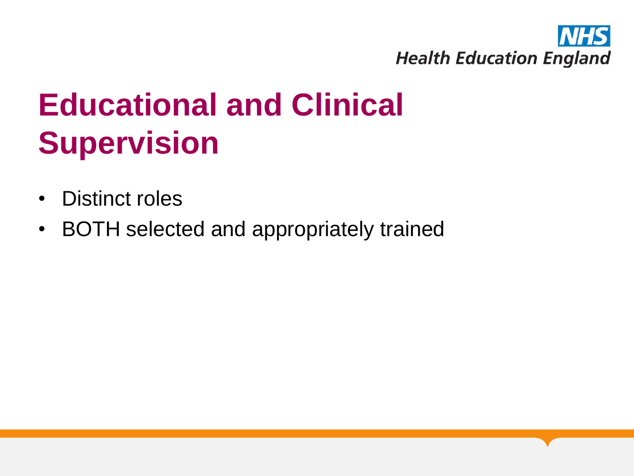

# **Educational and Clinical Supervision**

- Distinct roles
- BOTH selected and appropriately trained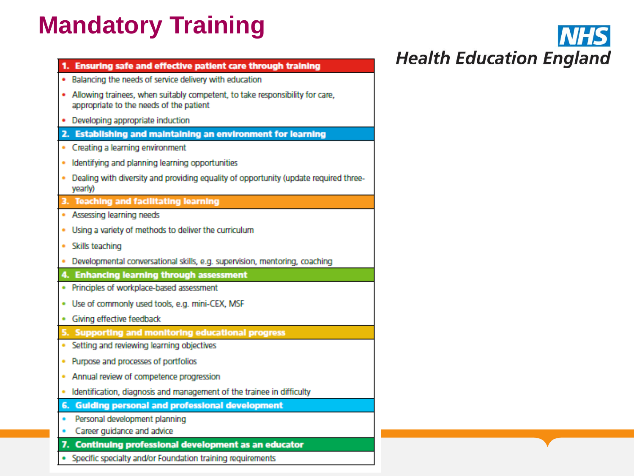## **Mandatory Training**

| 1. Ensuring safe and effective patient care through training                                                              |
|---------------------------------------------------------------------------------------------------------------------------|
| Balancing the needs of service delivery with education                                                                    |
| . Allowing trainees, when suitably competent, to take responsibility for care,<br>appropriate to the needs of the patient |
| Developing appropriate induction                                                                                          |
| 2. Establishing and maintaining an environment for learning                                                               |
| Creating a learning environment<br>٠                                                                                      |
| Identifying and planning learning opportunities<br>۰                                                                      |
| Dealing with diversity and providing equality of opportunity (update required three-<br>٠<br>yearly)                      |
| 3. Teaching and facilitating learning                                                                                     |
| Assessing learning needs<br>٠                                                                                             |
| Using a variety of methods to deliver the curriculum<br>٠                                                                 |
| Skills teaching<br>٠                                                                                                      |
| Developmental conversational skills, e.g. supervision, mentoring, coaching<br>٠                                           |
| 4. Enhancing learning through assessment                                                                                  |
| Principles of workplace-based assessment                                                                                  |
| Use of commonly used tools, e.g. mini-CEX, MSF<br>٠                                                                       |
| Giving effective feedback                                                                                                 |
| 5. Supporting and monitoring educational progress                                                                         |
| Setting and reviewing learning objectives<br>۰                                                                            |
| Purpose and processes of portfolios<br>٠                                                                                  |
| Annual review of competence progression<br>٠                                                                              |
| Identification, diagnosis and management of the trainee in difficulty                                                     |
| 6. Guiding personal and professional development                                                                          |
| Personal development planning                                                                                             |
| Career guidance and advice                                                                                                |
| 7. Continuing professional development as an educator                                                                     |
| Specific specialty and/or Foundation training requirements                                                                |

**NHS Health Education England**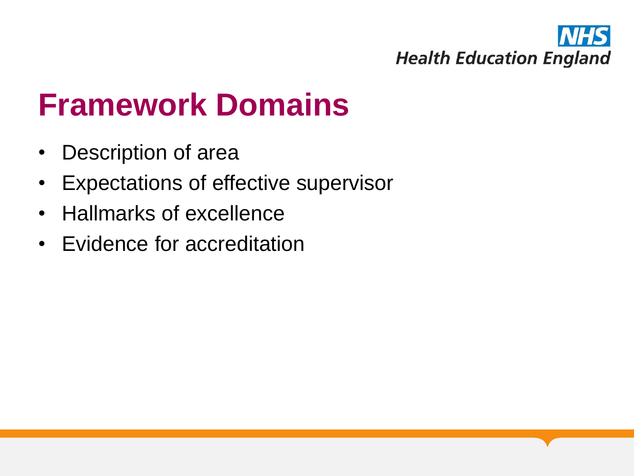

## **Framework Domains**

- Description of area
- Expectations of effective supervisor
- Hallmarks of excellence
- Evidence for accreditation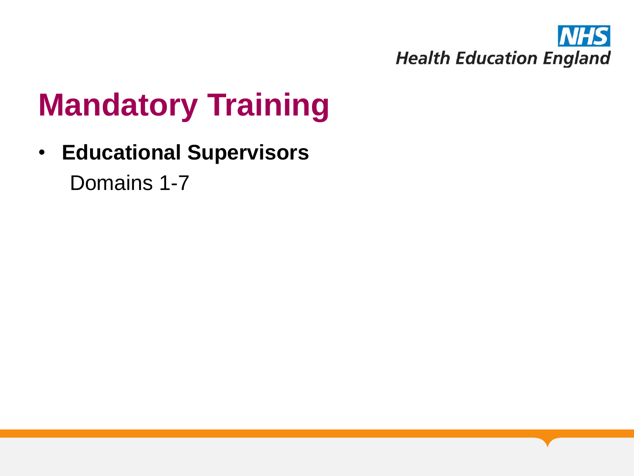

## **Mandatory Training**

• **Educational Supervisors** Domains 1-7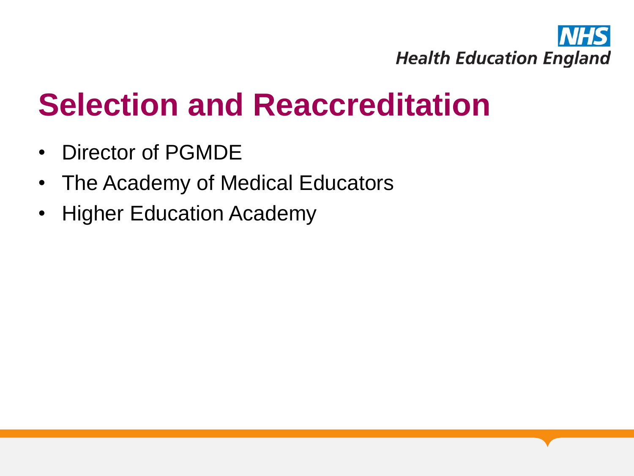

## **Selection and Reaccreditation**

- Director of PGMDE
- The Academy of Medical Educators
- Higher Education Academy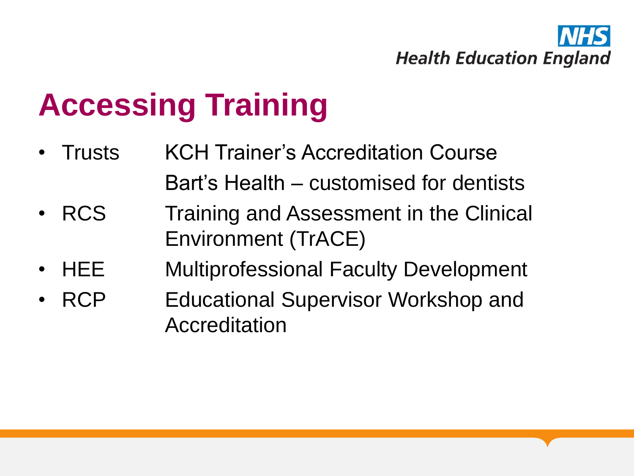

## **Accessing Training**

- Trusts KCH Trainer's Accreditation Course Bart's Health – customised for dentists
- RCS Training and Assessment in the Clinical Environment (TrACE)
- HEE Multiprofessional Faculty Development
- RCP **Educational Supervisor Workshop and** Accreditation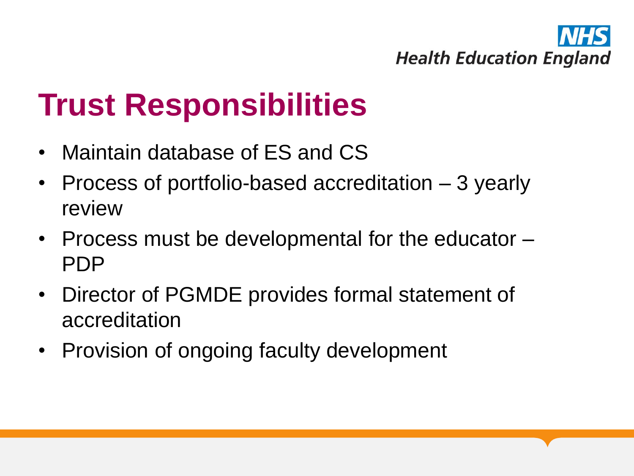

## **Trust Responsibilities**

- Maintain database of ES and CS
- Process of portfolio-based accreditation 3 yearly review
- Process must be developmental for the educator PDP
- Director of PGMDE provides formal statement of accreditation
- Provision of ongoing faculty development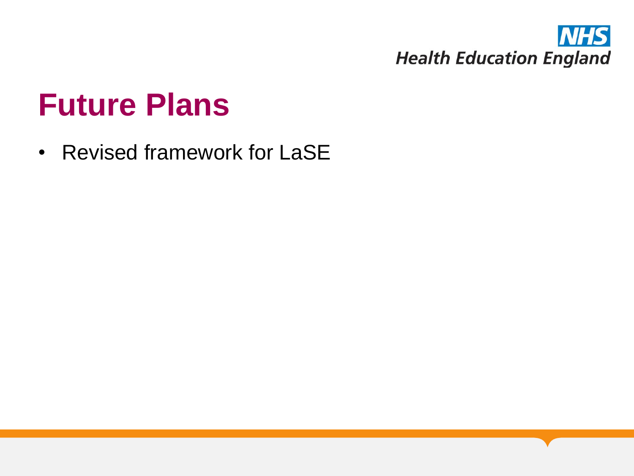

## **Future Plans**

• Revised framework for LaSE